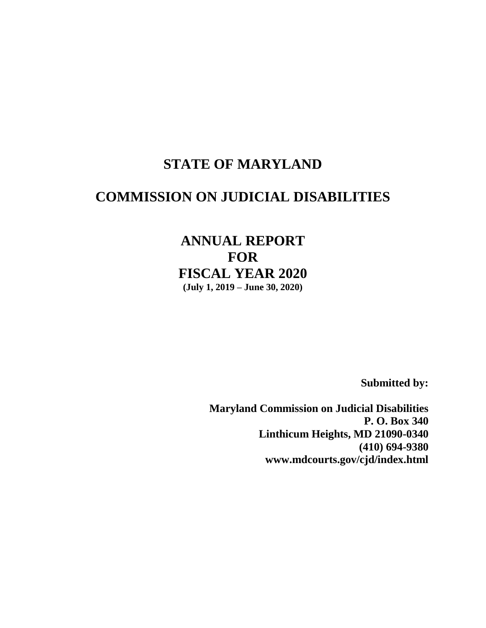# **STATE OF MARYLAND**

# **COMMISSION ON JUDICIAL DISABILITIES**

# **ANNUAL REPORT FOR FISCAL YEAR 2020 (July 1, 2019 – June 30, 2020)**

**Submitted by:** 

**Maryland Commission on Judicial Disabilities P. O. Box 340 Linthicum Heights, MD 21090-0340 (410) 694-9380 www.mdcourts.gov/cjd/index.html**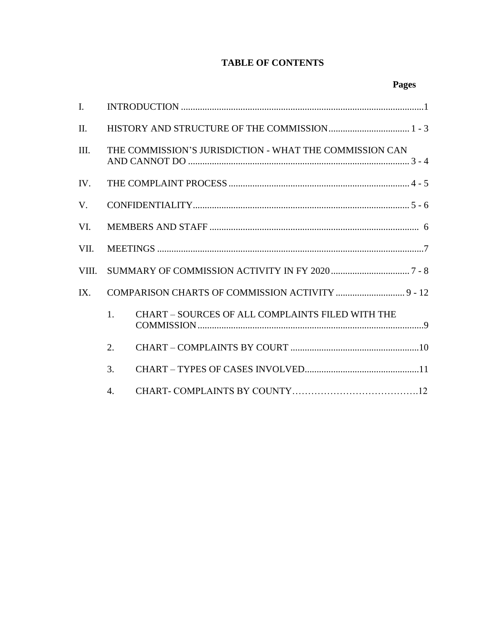# **TABLE OF CONTENTS**

| $\mathbf{I}$ . |                                                         |                                                         |  |  |  |  |  |
|----------------|---------------------------------------------------------|---------------------------------------------------------|--|--|--|--|--|
| II.            |                                                         |                                                         |  |  |  |  |  |
| III.           | THE COMMISSION'S JURISDICTION - WHAT THE COMMISSION CAN |                                                         |  |  |  |  |  |
| IV.            |                                                         |                                                         |  |  |  |  |  |
| V.             |                                                         |                                                         |  |  |  |  |  |
| VI.            |                                                         |                                                         |  |  |  |  |  |
| VII.           |                                                         |                                                         |  |  |  |  |  |
| VIII.          |                                                         |                                                         |  |  |  |  |  |
| IX.            |                                                         |                                                         |  |  |  |  |  |
|                | 1.                                                      | <b>CHART - SOURCES OF ALL COMPLAINTS FILED WITH THE</b> |  |  |  |  |  |
|                | 2.                                                      |                                                         |  |  |  |  |  |
|                | 3.                                                      |                                                         |  |  |  |  |  |
|                | $\mathbf{4}$ .                                          |                                                         |  |  |  |  |  |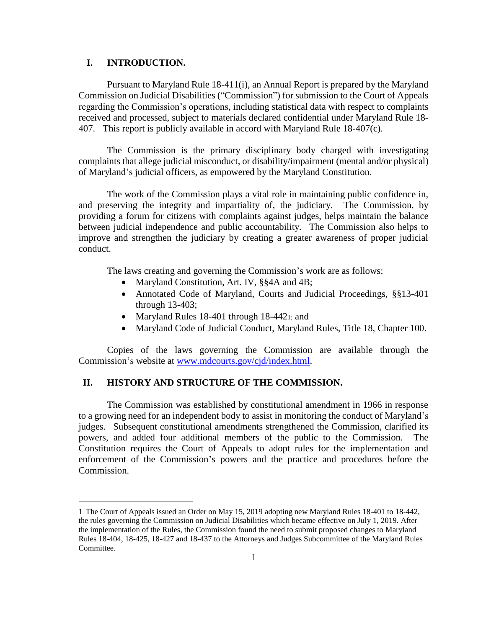# **I. INTRODUCTION.**

i<br>L

Pursuant to Maryland Rule 18-411(i), an Annual Report is prepared by the Maryland Commission on Judicial Disabilities ("Commission") for submission to the Court of Appeals regarding the Commission's operations, including statistical data with respect to complaints received and processed, subject to materials declared confidential under Maryland Rule 18- 407. This report is publicly available in accord with Maryland Rule 18-407(c).

The Commission is the primary disciplinary body charged with investigating complaints that allege judicial misconduct, or disability/impairment (mental and/or physical) of Maryland's judicial officers, as empowered by the Maryland Constitution.

The work of the Commission plays a vital role in maintaining public confidence in, and preserving the integrity and impartiality of, the judiciary. The Commission, by providing a forum for citizens with complaints against judges, helps maintain the balance between judicial independence and public accountability. The Commission also helps to improve and strengthen the judiciary by creating a greater awareness of proper judicial conduct.

The laws creating and governing the Commission's work are as follows:

- Maryland Constitution, Art. IV, §§4A and 4B;
- Annotated Code of Maryland, Courts and Judicial Proceedings, §§13-401 through 13-403;
- Maryland Rules 18-401 through 18-4421; and
- Maryland Code of Judicial Conduct, Maryland Rules, Title 18, Chapter 100.

Copies of the laws governing the Commission are available through the Commission's website at www.mdcourts.gov/cjd/index.html.

## **II. HISTORY AND STRUCTURE OF THE COMMISSION.**

The Commission was established by constitutional amendment in 1966 in response to a growing need for an independent body to assist in monitoring the conduct of Maryland's judges. Subsequent constitutional amendments strengthened the Commission, clarified its powers, and added four additional members of the public to the Commission. The Constitution requires the Court of Appeals to adopt rules for the implementation and enforcement of the Commission's powers and the practice and procedures before the Commission.

<sup>1</sup> The Court of Appeals issued an Order on May 15, 2019 adopting new Maryland Rules 18-401 to 18-442, the rules governing the Commission on Judicial Disabilities which became effective on July 1, 2019. After the implementation of the Rules, the Commission found the need to submit proposed changes to Maryland Rules 18-404, 18-425, 18-427 and 18-437 to the Attorneys and Judges Subcommittee of the Maryland Rules Committee.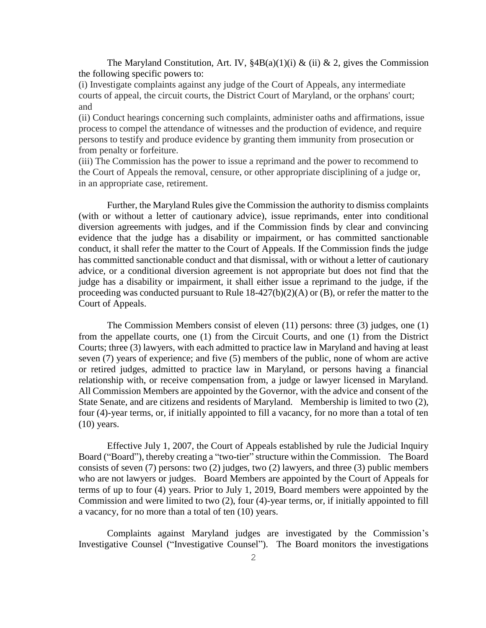The Maryland Constitution, Art. IV,  $\frac{8}{4}B(a)(1)(i) \& (ii) \& 2$ , gives the Commission the following specific powers to:

(i) Investigate complaints against any judge of the Court of Appeals, any intermediate courts of appeal, the circuit courts, the District Court of Maryland, or the orphans' court; and

(ii) Conduct hearings concerning such complaints, administer oaths and affirmations, issue process to compel the attendance of witnesses and the production of evidence, and require persons to testify and produce evidence by granting them immunity from prosecution or from penalty or forfeiture.

(iii) The Commission has the power to issue a reprimand and the power to recommend to the Court of Appeals the removal, censure, or other appropriate disciplining of a judge or, in an appropriate case, retirement.

Further, the Maryland Rules give the Commission the authority to dismiss complaints (with or without a letter of cautionary advice), issue reprimands, enter into conditional diversion agreements with judges, and if the Commission finds by clear and convincing evidence that the judge has a disability or impairment, or has committed sanctionable conduct, it shall refer the matter to the Court of Appeals. If the Commission finds the judge has committed sanctionable conduct and that dismissal, with or without a letter of cautionary advice, or a conditional diversion agreement is not appropriate but does not find that the judge has a disability or impairment, it shall either issue a reprimand to the judge, if the proceeding was conducted pursuant to Rule 18-427(b)(2)(A) or (B), or refer the matter to the Court of Appeals.

The Commission Members consist of eleven (11) persons: three (3) judges, one (1) from the appellate courts, one (1) from the Circuit Courts, and one (1) from the District Courts; three (3) lawyers, with each admitted to practice law in Maryland and having at least seven (7) years of experience; and five (5) members of the public, none of whom are active or retired judges, admitted to practice law in Maryland, or persons having a financial relationship with, or receive compensation from, a judge or lawyer licensed in Maryland. All Commission Members are appointed by the Governor, with the advice and consent of the State Senate, and are citizens and residents of Maryland. Membership is limited to two (2), four (4)-year terms, or, if initially appointed to fill a vacancy, for no more than a total of ten (10) years.

Effective July 1, 2007, the Court of Appeals established by rule the Judicial Inquiry Board ("Board"), thereby creating a "two-tier" structure within the Commission. The Board consists of seven (7) persons: two (2) judges, two (2) lawyers, and three (3) public members who are not lawyers or judges. Board Members are appointed by the Court of Appeals for terms of up to four (4) years. Prior to July 1, 2019, Board members were appointed by the Commission and were limited to two (2), four (4)-year terms, or, if initially appointed to fill a vacancy, for no more than a total of ten (10) years.

Complaints against Maryland judges are investigated by the Commission's Investigative Counsel ("Investigative Counsel"). The Board monitors the investigations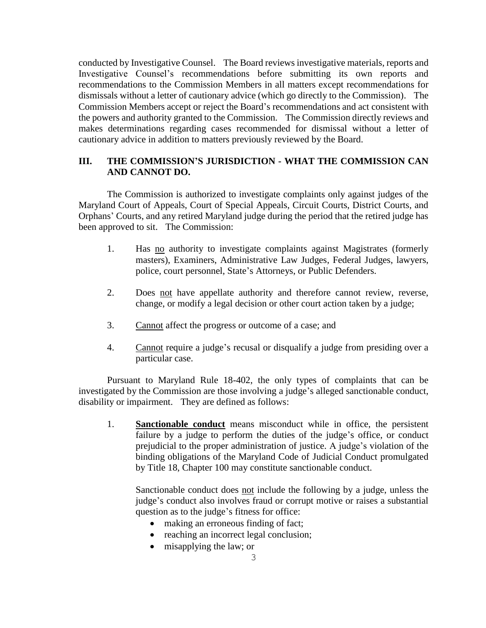conducted by Investigative Counsel. The Board reviews investigative materials, reports and Investigative Counsel's recommendations before submitting its own reports and recommendations to the Commission Members in all matters except recommendations for dismissals without a letter of cautionary advice (which go directly to the Commission). The Commission Members accept or reject the Board's recommendations and act consistent with the powers and authority granted to the Commission. The Commission directly reviews and makes determinations regarding cases recommended for dismissal without a letter of cautionary advice in addition to matters previously reviewed by the Board.

# **III. THE COMMISSION'S JURISDICTION - WHAT THE COMMISSION CAN AND CANNOT DO.**

The Commission is authorized to investigate complaints only against judges of the Maryland Court of Appeals, Court of Special Appeals, Circuit Courts, District Courts, and Orphans' Courts, and any retired Maryland judge during the period that the retired judge has been approved to sit. The Commission:

- 1. Has no authority to investigate complaints against Magistrates (formerly masters), Examiners, Administrative Law Judges, Federal Judges, lawyers, police, court personnel, State's Attorneys, or Public Defenders.
- 2. Does not have appellate authority and therefore cannot review, reverse, change, or modify a legal decision or other court action taken by a judge;
- 3. Cannot affect the progress or outcome of a case; and
- 4. Cannot require a judge's recusal or disqualify a judge from presiding over a particular case.

Pursuant to Maryland Rule 18-402, the only types of complaints that can be investigated by the Commission are those involving a judge's alleged sanctionable conduct, disability or impairment. They are defined as follows:

1. **Sanctionable conduct** means misconduct while in office, the persistent failure by a judge to perform the duties of the judge's office, or conduct prejudicial to the proper administration of justice. A judge's violation of the binding obligations of the Maryland Code of Judicial Conduct promulgated by Title 18, Chapter 100 may constitute sanctionable conduct.

Sanctionable conduct does not include the following by a judge, unless the judge's conduct also involves fraud or corrupt motive or raises a substantial question as to the judge's fitness for office:

- making an erroneous finding of fact;
- reaching an incorrect legal conclusion;
- misapplying the law; or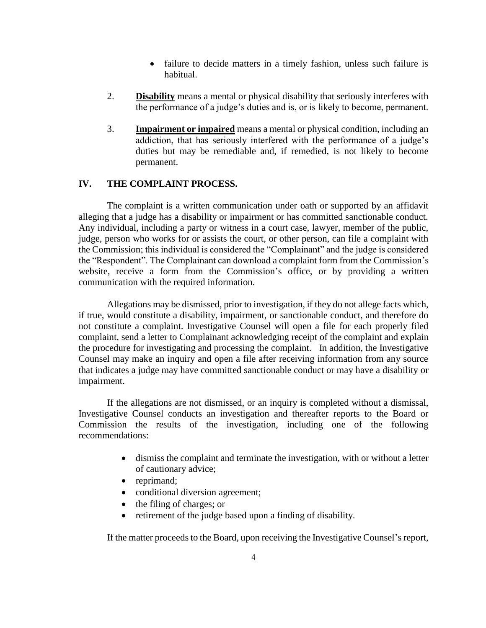- failure to decide matters in a timely fashion, unless such failure is habitual.
- 2. **Disability** means a mental or physical disability that seriously interferes with the performance of a judge's duties and is, or is likely to become, permanent.
- 3. **Impairment or impaired** means a mental or physical condition, including an addiction, that has seriously interfered with the performance of a judge's duties but may be remediable and, if remedied, is not likely to become permanent.

# **IV. THE COMPLAINT PROCESS.**

The complaint is a written communication under oath or supported by an affidavit alleging that a judge has a disability or impairment or has committed sanctionable conduct. Any individual, including a party or witness in a court case, lawyer, member of the public, judge, person who works for or assists the court, or other person, can file a complaint with the Commission; this individual is considered the "Complainant" and the judge is considered the "Respondent". The Complainant can download a complaint form from the Commission's website, receive a form from the Commission's office, or by providing a written communication with the required information.

Allegations may be dismissed, prior to investigation, if they do not allege facts which, if true, would constitute a disability, impairment, or sanctionable conduct, and therefore do not constitute a complaint. Investigative Counsel will open a file for each properly filed complaint, send a letter to Complainant acknowledging receipt of the complaint and explain the procedure for investigating and processing the complaint. In addition, the Investigative Counsel may make an inquiry and open a file after receiving information from any source that indicates a judge may have committed sanctionable conduct or may have a disability or impairment.

If the allegations are not dismissed, or an inquiry is completed without a dismissal, Investigative Counsel conducts an investigation and thereafter reports to the Board or Commission the results of the investigation, including one of the following recommendations:

- dismiss the complaint and terminate the investigation, with or without a letter of cautionary advice;
- reprimand;
- conditional diversion agreement;
- the filing of charges; or
- retirement of the judge based upon a finding of disability.

If the matter proceeds to the Board, upon receiving the Investigative Counsel's report,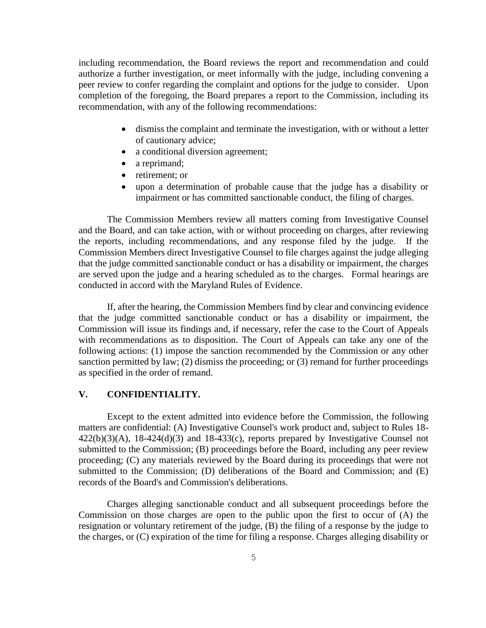including recommendation, the Board reviews the report and recommendation and could authorize a further investigation, or meet informally with the judge, including convening a peer review to confer regarding the complaint and options for the judge to consider. Upon completion of the foregoing, the Board prepares a report to the Commission, including its recommendation, with any of the following recommendations:

- dismiss the complaint and terminate the investigation, with or without a letter of cautionary advice;
- a conditional diversion agreement;
- a reprimand;
- retirement; or
- upon a determination of probable cause that the judge has a disability or impairment or has committed sanctionable conduct, the filing of charges.

The Commission Members review all matters coming from Investigative Counsel and the Board, and can take action, with or without proceeding on charges, after reviewing the reports, including recommendations, and any response filed by the judge. If the Commission Members direct Investigative Counsel to file charges against the judge alleging that the judge committed sanctionable conduct or has a disability or impairment, the charges are served upon the judge and a hearing scheduled as to the charges. Formal hearings are conducted in accord with the Maryland Rules of Evidence.

If, after the hearing, the Commission Members find by clear and convincing evidence that the judge committed sanctionable conduct or has a disability or impairment, the Commission will issue its findings and, if necessary, refer the case to the Court of Appeals with recommendations as to disposition. The Court of Appeals can take any one of the following actions: (1) impose the sanction recommended by the Commission or any other sanction permitted by law; (2) dismiss the proceeding; or (3) remand for further proceedings as specified in the order of remand.

## **V. CONFIDENTIALITY.**

Except to the extent admitted into evidence before the Commission, the following matters are confidential: (A) Investigative Counsel's work product and, subject to Rules 18-  $422(b)(3)(A)$ ,  $18-424(d)(3)$  and  $18-433(c)$ , reports prepared by Investigative Counsel not submitted to the Commission; (B) proceedings before the Board, including any peer review proceeding; (C) any materials reviewed by the Board during its proceedings that were not submitted to the Commission; (D) deliberations of the Board and Commission; and (E) records of the Board's and Commission's deliberations.

Charges alleging sanctionable conduct and all subsequent proceedings before the Commission on those charges are open to the public upon the first to occur of (A) the resignation or voluntary retirement of the judge, (B) the filing of a response by the judge to the charges, or (C) expiration of the time for filing a response. Charges alleging disability or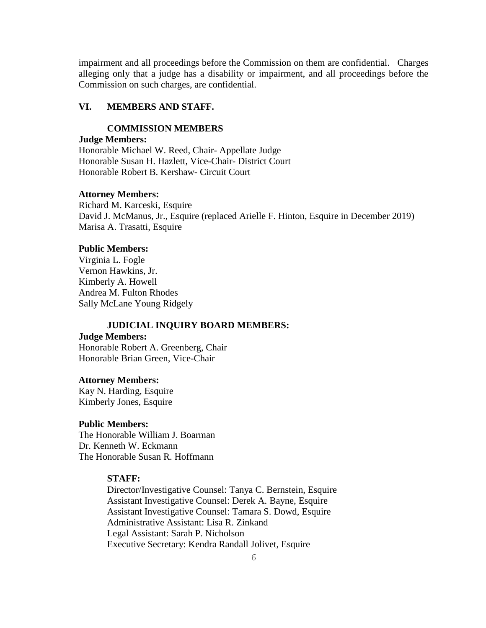impairment and all proceedings before the Commission on them are confidential. Charges alleging only that a judge has a disability or impairment, and all proceedings before the Commission on such charges, are confidential.

# **VI. MEMBERS AND STAFF.**

## **COMMISSION MEMBERS**

## **Judge Members:**

Honorable Michael W. Reed, Chair- Appellate Judge Honorable Susan H. Hazlett, Vice-Chair- District Court Honorable Robert B. Kershaw- Circuit Court

#### **Attorney Members:**

Richard M. Karceski, Esquire David J. McManus, Jr., Esquire (replaced Arielle F. Hinton, Esquire in December 2019) Marisa A. Trasatti, Esquire

#### **Public Members:**

Virginia L. Fogle Vernon Hawkins, Jr. Kimberly A. Howell Andrea M. Fulton Rhodes Sally McLane Young Ridgely

#### **JUDICIAL INQUIRY BOARD MEMBERS:**

# **Judge Members:**

Honorable Robert A. Greenberg, Chair Honorable Brian Green, Vice-Chair

#### **Attorney Members:**

Kay N. Harding, Esquire Kimberly Jones, Esquire

# **Public Members:**

The Honorable William J. Boarman Dr. Kenneth W. Eckmann The Honorable Susan R. Hoffmann

## **STAFF:**

Director/Investigative Counsel: Tanya C. Bernstein, Esquire Assistant Investigative Counsel: Derek A. Bayne, Esquire Assistant Investigative Counsel: Tamara S. Dowd, Esquire Administrative Assistant: Lisa R. Zinkand Legal Assistant: Sarah P. Nicholson Executive Secretary: Kendra Randall Jolivet, Esquire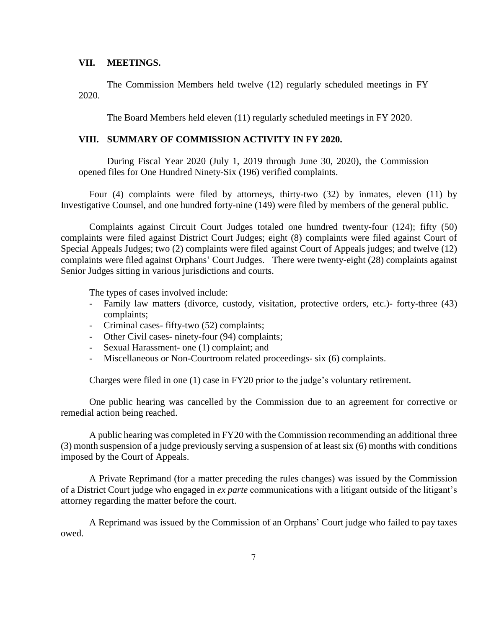### **VII. MEETINGS.**

The Commission Members held twelve (12) regularly scheduled meetings in FY 2020.

The Board Members held eleven (11) regularly scheduled meetings in FY 2020.

# **VIII. SUMMARY OF COMMISSION ACTIVITY IN FY 2020.**

During Fiscal Year 2020 (July 1, 2019 through June 30, 2020), the Commission opened files for One Hundred Ninety-Six (196) verified complaints.

Four (4) complaints were filed by attorneys, thirty-two (32) by inmates, eleven (11) by Investigative Counsel, and one hundred forty-nine (149) were filed by members of the general public.

Complaints against Circuit Court Judges totaled one hundred twenty-four (124); fifty (50) complaints were filed against District Court Judges; eight (8) complaints were filed against Court of Special Appeals Judges; two (2) complaints were filed against Court of Appeals judges; and twelve (12) complaints were filed against Orphans' Court Judges. There were twenty-eight (28) complaints against Senior Judges sitting in various jurisdictions and courts.

The types of cases involved include:

- Family law matters (divorce, custody, visitation, protective orders, etc.)- forty-three (43) complaints;
- Criminal cases- fifty-two (52) complaints;
- Other Civil cases- ninety-four (94) complaints;
- Sexual Harassment- one (1) complaint; and
- Miscellaneous or Non-Courtroom related proceedings- six (6) complaints.

Charges were filed in one (1) case in FY20 prior to the judge's voluntary retirement.

One public hearing was cancelled by the Commission due to an agreement for corrective or remedial action being reached.

A public hearing was completed in FY20 with the Commission recommending an additional three (3) month suspension of a judge previously serving a suspension of at least six (6) months with conditions imposed by the Court of Appeals.

A Private Reprimand (for a matter preceding the rules changes) was issued by the Commission of a District Court judge who engaged in *ex parte* communications with a litigant outside of the litigant's attorney regarding the matter before the court.

A Reprimand was issued by the Commission of an Orphans' Court judge who failed to pay taxes owed.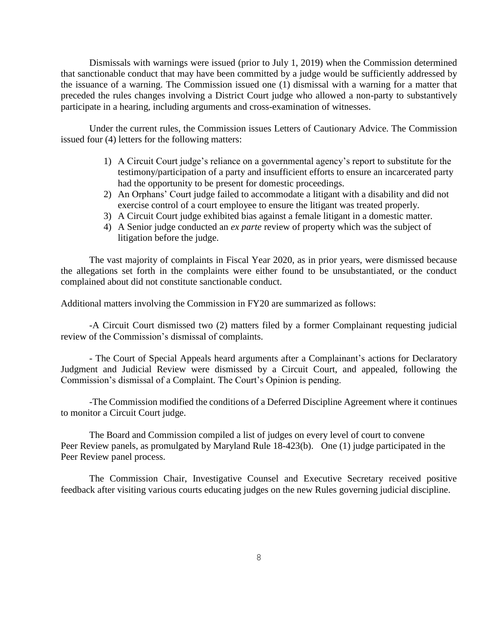Dismissals with warnings were issued (prior to July 1, 2019) when the Commission determined that sanctionable conduct that may have been committed by a judge would be sufficiently addressed by the issuance of a warning. The Commission issued one (1) dismissal with a warning for a matter that preceded the rules changes involving a District Court judge who allowed a non-party to substantively participate in a hearing, including arguments and cross-examination of witnesses.

Under the current rules, the Commission issues Letters of Cautionary Advice. The Commission issued four (4) letters for the following matters:

- 1) A Circuit Court judge's reliance on a governmental agency's report to substitute for the testimony/participation of a party and insufficient efforts to ensure an incarcerated party had the opportunity to be present for domestic proceedings.
- 2) An Orphans' Court judge failed to accommodate a litigant with a disability and did not exercise control of a court employee to ensure the litigant was treated properly.
- 3) A Circuit Court judge exhibited bias against a female litigant in a domestic matter.
- 4) A Senior judge conducted an *ex parte* review of property which was the subject of litigation before the judge.

The vast majority of complaints in Fiscal Year 2020, as in prior years, were dismissed because the allegations set forth in the complaints were either found to be unsubstantiated, or the conduct complained about did not constitute sanctionable conduct.

Additional matters involving the Commission in FY20 are summarized as follows:

-A Circuit Court dismissed two (2) matters filed by a former Complainant requesting judicial review of the Commission's dismissal of complaints.

- The Court of Special Appeals heard arguments after a Complainant's actions for Declaratory Judgment and Judicial Review were dismissed by a Circuit Court, and appealed, following the Commission's dismissal of a Complaint. The Court's Opinion is pending.

-The Commission modified the conditions of a Deferred Discipline Agreement where it continues to monitor a Circuit Court judge.

The Board and Commission compiled a list of judges on every level of court to convene Peer Review panels, as promulgated by Maryland Rule 18-423(b). One (1) judge participated in the Peer Review panel process.

The Commission Chair, Investigative Counsel and Executive Secretary received positive feedback after visiting various courts educating judges on the new Rules governing judicial discipline.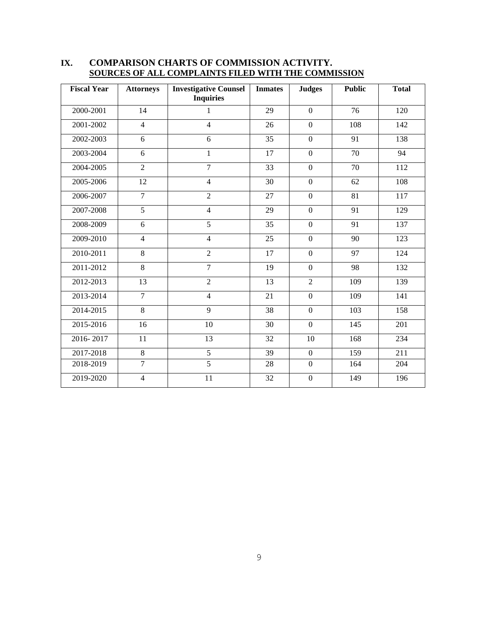| <b>Fiscal Year</b> | <b>Attorneys</b> | <b>Investigative Counsel</b><br><b>Inquiries</b> | <b>Inmates</b> | <b>Judges</b>  | <b>Public</b>   | <b>Total</b>     |
|--------------------|------------------|--------------------------------------------------|----------------|----------------|-----------------|------------------|
| 2000-2001          | 14               | $\mathbf{1}$                                     | 29             | $\overline{0}$ | 76              | 120              |
| 2001-2002          | $\overline{4}$   | $\overline{4}$                                   | 26             | $\mathbf{0}$   | 108             | 142              |
| 2002-2003          | 6                | 6                                                | 35             | $\overline{0}$ | 91              | 138              |
| 2003-2004          | 6                | $\mathbf{1}$                                     | 17             | $\mathbf{0}$   | 70              | 94               |
| 2004-2005          | $\overline{2}$   | $\overline{7}$                                   | 33             | $\mathbf{0}$   | 70              | 112              |
| 2005-2006          | 12               | $\overline{4}$                                   | 30             | $\overline{0}$ | 62              | 108              |
| 2006-2007          | $\overline{7}$   | $\overline{c}$                                   | 27             | $\overline{0}$ | 81              | 117              |
| 2007-2008          | $\overline{5}$   | $\overline{4}$                                   | 29             | $\mathbf{0}$   | $\overline{91}$ | 129              |
| 2008-2009          | 6                | $\overline{5}$                                   | 35             | $\theta$       | 91              | 137              |
| 2009-2010          | $\overline{4}$   | $\overline{4}$                                   | 25             | $\overline{0}$ | 90              | 123              |
| 2010-2011          | 8                | $\overline{2}$                                   | 17             | $\overline{0}$ | 97              | 124              |
| 2011-2012          | 8                | $\overline{7}$                                   | 19             | $\overline{0}$ | 98              | 132              |
| $2012 - 2013$      | 13               | $\overline{c}$                                   | 13             | $\overline{2}$ | 109             | 139              |
| 2013-2014          | $\overline{7}$   | $\overline{4}$                                   | 21             | $\overline{0}$ | 109             | 141              |
| 2014-2015          | 8                | 9                                                | 38             | $\overline{0}$ | 103             | 158              |
| 2015-2016          | $\overline{16}$  | 10                                               | 30             | $\overline{0}$ | 145             | $\overline{201}$ |
| 2016-2017          | 11               | 13                                               | 32             | 10             | 168             | 234              |
| 2017-2018          | $\overline{8}$   | $\overline{5}$                                   | 39             | $\overline{0}$ | 159             | 211              |
| 2018-2019          | $\overline{7}$   | $\overline{5}$                                   | 28             | $\theta$       | 164             | 204              |
| 2019-2020          | $\overline{4}$   | 11                                               | 32             | $\mathbf{0}$   | 149             | 196              |

# **IX. COMPARISON CHARTS OF COMMISSION ACTIVITY. SOURCES OF ALL COMPLAINTS FILED WITH THE COMMISSION**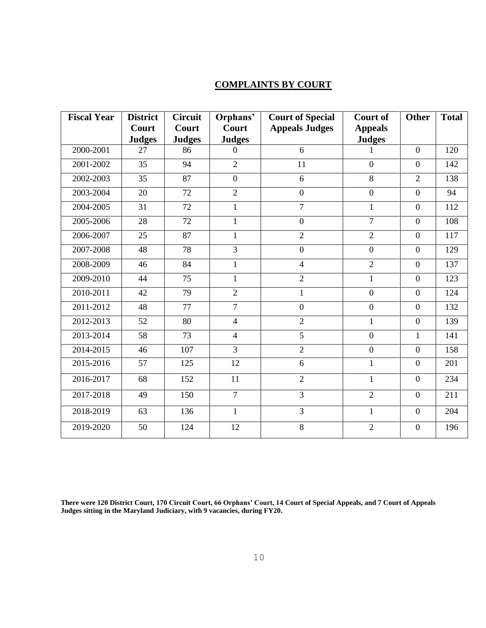# **COMPLAINTS BY COURT**

| <b>Fiscal Year</b> | <b>District</b> | <b>Circuit</b> | Orphans'       | <b>Court of Special</b> | <b>Court of</b>  | <b>Other</b>   | <b>Total</b> |
|--------------------|-----------------|----------------|----------------|-------------------------|------------------|----------------|--------------|
|                    | Court           | Court          | Court          | <b>Appeals Judges</b>   | <b>Appeals</b>   |                |              |
|                    | <b>Judges</b>   | <b>Judges</b>  | <b>Judges</b>  |                         | <b>Judges</b>    |                |              |
| 2000-2001          | 27              | 86             | $\Omega$       | 6                       |                  | $\theta$       | 120          |
| 2001-2002          | 35              | 94             | $\overline{2}$ | 11                      | $\theta$         | $\overline{0}$ | 142          |
| 2002-2003          | 35              | 87             | $\overline{0}$ | 6                       | 8                | $\overline{2}$ | 138          |
| 2003-2004          | 20              | 72             | $\overline{2}$ | $\overline{0}$          | $\overline{0}$   | $\overline{0}$ | 94           |
| 2004-2005          | 31              | 72             | $\mathbf{1}$   | $\overline{7}$          | $\mathbf{1}$     | $\overline{0}$ | 112          |
| 2005-2006          | 28              | 72             | $\mathbf{1}$   | $\overline{0}$          | $\overline{7}$   | $\overline{0}$ | 108          |
| 2006-2007          | 25              | 87             | $\mathbf{1}$   | $\overline{2}$          | $\overline{2}$   | $\overline{0}$ | 117          |
| 2007-2008          | 48              | 78             | $\overline{3}$ | $\boldsymbol{0}$        | $\overline{0}$   | $\overline{0}$ | 129          |
| 2008-2009          | 46              | 84             | $\mathbf{1}$   | $\overline{4}$          | $\overline{2}$   | $\overline{0}$ | 137          |
| 2009-2010          | 44              | 75             | $\mathbf{1}$   | $\overline{2}$          | $\mathbf{1}$     | $\overline{0}$ | 123          |
| 2010-2011          | 42              | 79             | $\overline{2}$ | $\mathbf{1}$            | $\boldsymbol{0}$ | $\mathbf{0}$   | 124          |
| 2011-2012          | 48              | 77             | $\overline{7}$ | $\overline{0}$          | $\overline{0}$   | $\overline{0}$ | 132          |
| 2012-2013          | 52              | 80             | $\overline{4}$ | $\overline{2}$          | $\mathbf{1}$     | $\theta$       | 139          |
| 2013-2014          | 58              | 73             | $\overline{4}$ | $\overline{5}$          | $\overline{0}$   | $\mathbf{1}$   | 141          |
| 2014-2015          | 46              | 107            | $\overline{3}$ | $\overline{2}$          | $\overline{0}$   | $\overline{0}$ | 158          |
| 2015-2016          | 57              | 125            | 12             | 6                       | $\mathbf{1}$     | $\overline{0}$ | 201          |
| 2016-2017          | 68              | 152            | 11             | $\overline{2}$          | $\mathbf{1}$     | $\overline{0}$ | 234          |
| 2017-2018          | 49              | 150            | $\overline{7}$ | 3                       | $\overline{2}$   | $\theta$       | 211          |
| 2018-2019          | 63              | 136            | $\mathbf{1}$   | 3                       | $\mathbf{1}$     | $\mathbf{0}$   | 204          |
| 2019-2020          | 50              | 124            | 12             | 8                       | $\overline{2}$   | $\overline{0}$ | 196          |

**There were 120 District Court, 170 Circuit Court, 66 Orphans' Court, 14 Court of Special Appeals, and 7 Court of Appeals Judges sitting in the Maryland Judiciary, with 9 vacancies, during FY20.**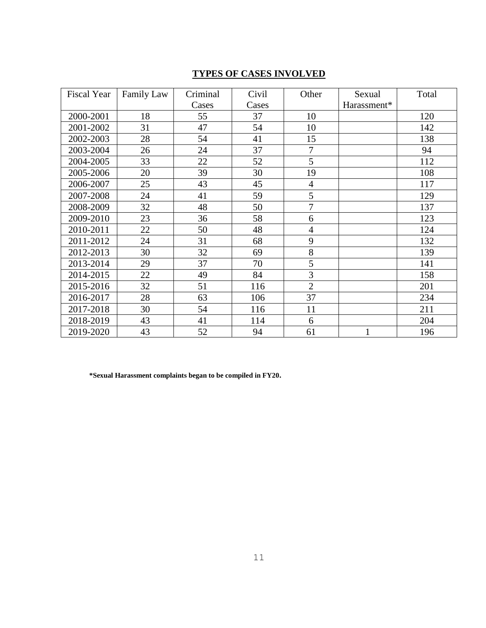# **TYPES OF CASES INVOLVED**

| <b>Fiscal Year</b> | Family Law | Criminal | Civil | Other          | Sexual       | Total |
|--------------------|------------|----------|-------|----------------|--------------|-------|
|                    |            | Cases    | Cases |                | Harassment*  |       |
| 2000-2001          | 18         | 55       | 37    | 10             |              | 120   |
| 2001-2002          | 31         | 47       | 54    | 10             |              | 142   |
| 2002-2003          | 28         | 54       | 41    | 15             |              | 138   |
| 2003-2004          | 26         | 24       | 37    | $\overline{7}$ |              | 94    |
| 2004-2005          | 33         | 22       | 52    | 5              |              | 112   |
| 2005-2006          | 20         | 39       | 30    | 19             |              | 108   |
| 2006-2007          | 25         | 43       | 45    | $\overline{4}$ |              | 117   |
| 2007-2008          | 24         | 41       | 59    | 5              |              | 129   |
| 2008-2009          | 32         | 48       | 50    | $\overline{7}$ |              | 137   |
| 2009-2010          | 23         | 36       | 58    | 6              |              | 123   |
| 2010-2011          | 22         | 50       | 48    | $\overline{4}$ |              | 124   |
| 2011-2012          | 24         | 31       | 68    | 9              |              | 132   |
| 2012-2013          | 30         | 32       | 69    | 8              |              | 139   |
| 2013-2014          | 29         | 37       | 70    | 5              |              | 141   |
| 2014-2015          | 22         | 49       | 84    | 3              |              | 158   |
| 2015-2016          | 32         | 51       | 116   | $\overline{2}$ |              | 201   |
| 2016-2017          | 28         | 63       | 106   | 37             |              | 234   |
| 2017-2018          | 30         | 54       | 116   | 11             |              | 211   |
| 2018-2019          | 43         | 41       | 114   | 6              |              | 204   |
| 2019-2020          | 43         | 52       | 94    | 61             | $\mathbf{1}$ | 196   |

**\*Sexual Harassment complaints began to be compiled in FY20.**